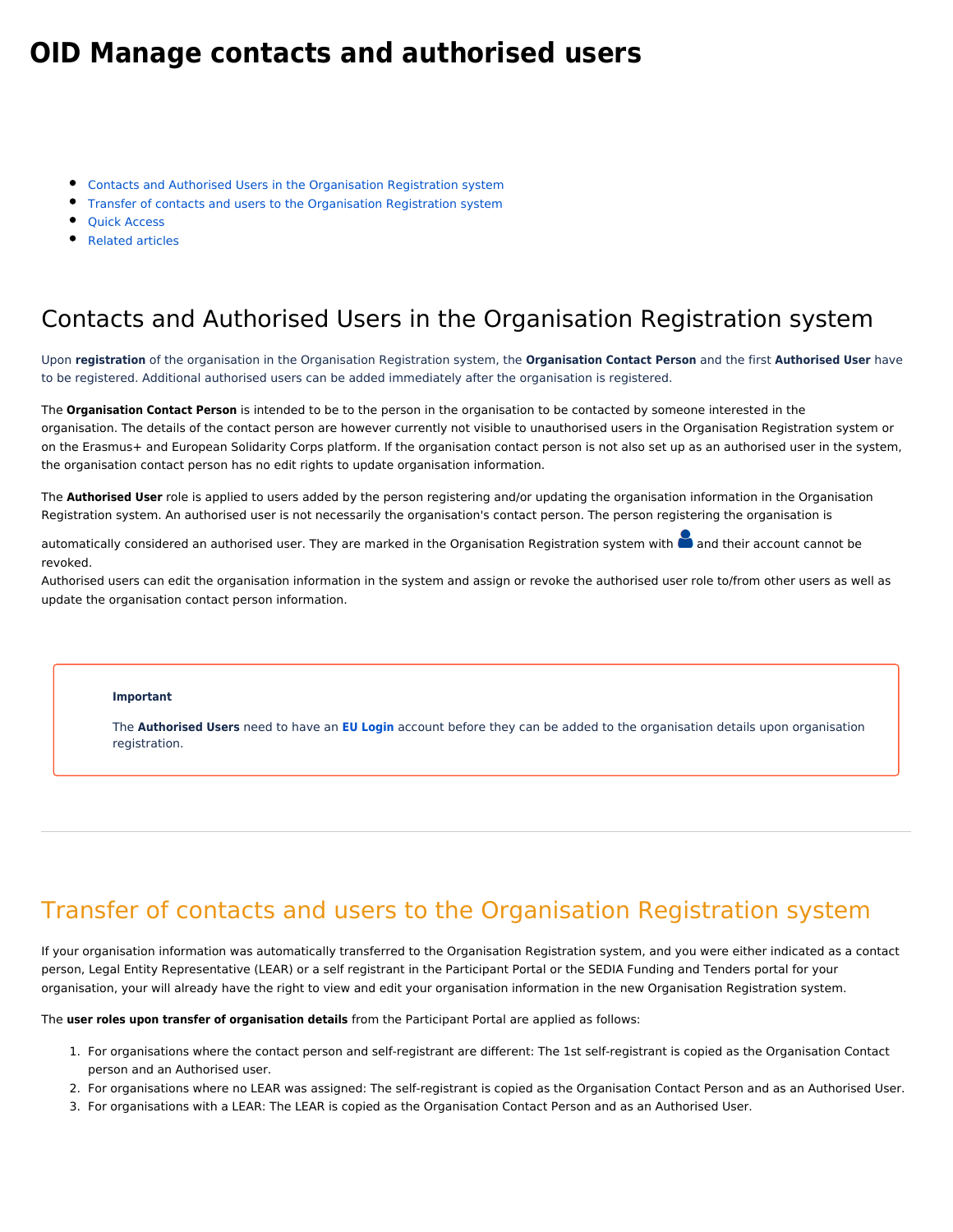# <span id="page-0-2"></span>**OID Manage contacts and authorised users**

- [Contacts and Authorised Users in the Organisation Registration system](#page-0-0)
- **[Transfer of contacts and users to the Organisation Registration system](#page-0-1)**
- [Quick Access](#page-1-0)
- [Related articles](#page-1-1)

#### <span id="page-0-0"></span>Contacts and Authorised Users in the Organisation Registration system

Upon **registration** of the organisation in the Organisation Registration system, the **Organisation Contact Person** and the first **Authorised User** have to be registered. Additional authorised users can be added immediately after the organisation is registered.

The **Organisation Contact Person** is intended to be to the person in the organisation to be contacted by someone interested in the organisation. The details of the contact person are however currently not visible to unauthorised users in the Organisation Registration system or on the Erasmus+ and European Solidarity Corps platform. If the organisation contact person is not also set up as an authorised user in the system, the organisation contact person has no edit rights to update organisation information.

The **Authorised User** role is applied to users added by the person registering and/or updating the organisation information in the Organisation Registration system. An authorised user is not necessarily the organisation's contact person. The person registering the organisation is

automatically considered an authorised user. They are marked in the Organisation Registration system with and their account cannot be revoked.

Authorised users can edit the organisation information in the system and assign or revoke the authorised user role to/from other users as well as update the organisation contact person information.

#### **Important**

The **Authorised Users** need to have an **[EU Login](https://webgate.ec.europa.eu/fpfis/wikis/display/NAITDOC/EU+Login+-+European+Commission+Authentication+Service)** account before they can be added to the organisation details upon organisation registration.

### <span id="page-0-1"></span>Transfer of contacts and users to the Organisation Registration system

If your organisation information was automatically transferred to the Organisation Registration system, and you were either indicated as a contact person, Legal Entity Representative (LEAR) or a self registrant in the Participant Portal or the SEDIA Funding and Tenders portal for your organisation, your will already have the right to view and edit your organisation information in the new Organisation Registration system.

The **user roles upon transfer of organisation details** from the Participant Portal are applied as follows:

- 1. For organisations where the contact person and self-registrant are different: The 1st self-registrant is copied as the Organisation Contact person and an Authorised user.
- 2. For organisations where no LEAR was assigned: The self-registrant is copied as the Organisation Contact Person and as an Authorised User.
- 3. For organisations with a LEAR: The LEAR is copied as the Organisation Contact Person and as an Authorised User.